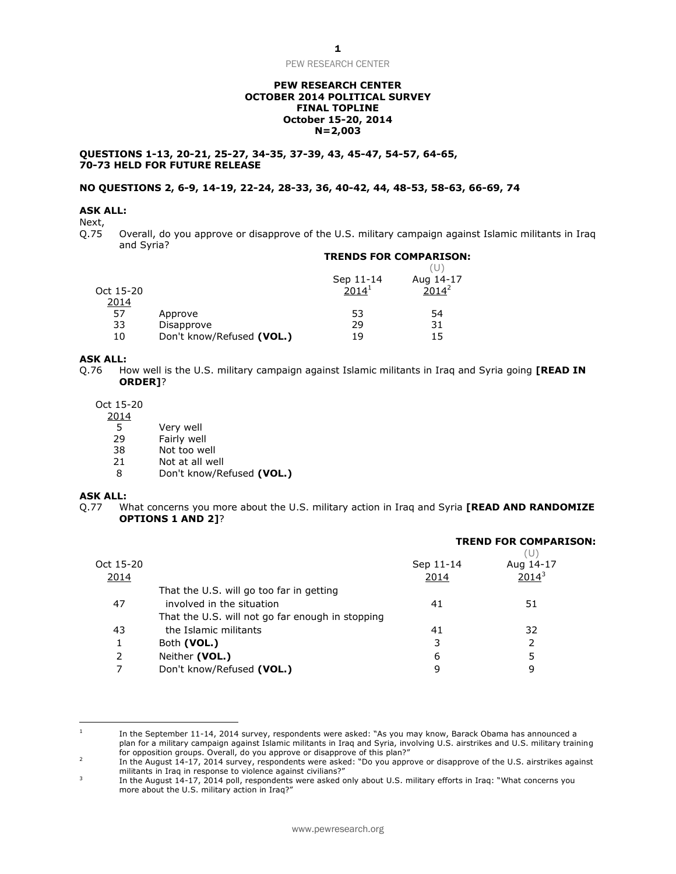PEW RESEARCH CENTER

## **PEW RESEARCH CENTER OCTOBER 2014 POLITICAL SURVEY FINAL TOPLINE October 15-20, 2014 N=2,003**

**QUESTIONS 1-13, 20-21, 25-27, 34-35, 37-39, 43, 45-47, 54-57, 64-65, 70-73 HELD FOR FUTURE RELEASE**

# **NO QUESTIONS 2, 6-9, 14-19, 22-24, 28-33, 36, 40-42, 44, 48-53, 58-63, 66-69, 74**

## **ASK ALL:**

Next,

Q.75 Overall, do you approve or disapprove of the U.S. military campaign against Islamic militants in Iraq and Syria? **TRENDS FOR COMPARISON:**

|           |                           | Sep 11-14         | Aug 14-17 |
|-----------|---------------------------|-------------------|-----------|
| Oct 15-20 |                           | 2014 <sup>1</sup> | $2014^2$  |
| 2014      |                           |                   |           |
| 57        | Approve                   | 53                | 54        |
| 33        | Disapprove                | 29                | 31        |
| 10        | Don't know/Refused (VOL.) | 19                | 15        |

### **ASK ALL:**

Q.76 How well is the U.S. military campaign against Islamic militants in Iraq and Syria going **[READ IN ORDER]**?

Oct 15-20

- 2014
	-
	- 5 Very well<br>29 Fairly wel 29 Fairly well<br>38 Not too we
	- 38 Not too well<br>21 Not at all we
	- 21 Not at all well<br>8 Don't know/Re
	- 8 Don't know/Refused **(VOL.)**

## **ASK ALL:**

 $\overline{\phantom{a}}$ 

Q.77 What concerns you more about the U.S. military action in Iraq and Syria **[READ AND RANDOMIZE OPTIONS 1 AND 2]**?

|           |                                                  |           | <b>TREND FOR COMPARISON:</b><br>(U) |  |
|-----------|--------------------------------------------------|-----------|-------------------------------------|--|
| Oct 15-20 |                                                  | Sep 11-14 | Aug 14-17                           |  |
| 2014      |                                                  | 2014      | $2014^3$                            |  |
|           | That the U.S. will go too far in getting         |           |                                     |  |
| 47        | involved in the situation                        | 41        | 51                                  |  |
|           | That the U.S. will not go far enough in stopping |           |                                     |  |
| 43        | the Islamic militants                            | 41        | 32                                  |  |
| 1         | Both (VOL.)                                      | 3         |                                     |  |
| 2         | Neither (VOL.)                                   | 6         |                                     |  |
|           | Don't know/Refused (VOL.)                        | q         | 9                                   |  |
|           |                                                  |           |                                     |  |

<sup>1</sup> In the September 11-14, 2014 survey, respondents were asked: "As you may know, Barack Obama has announced a plan for a military campaign against Islamic militants in Iraq and Syria, involving U.S. airstrikes and U.S. military training for opposition groups. Overall, do you approve or disapprove of this plan?"

<sup>2</sup> In the August 14-17, 2014 survey, respondents were asked: "Do you approve or disapprove of the U.S. airstrikes against militants in Iraq in response to violence against civilians?"

<sup>3</sup> In the August 14-17, 2014 poll, respondents were asked only about U.S. military efforts in Iraq: "What concerns you more about the U.S. military action in Iraq?"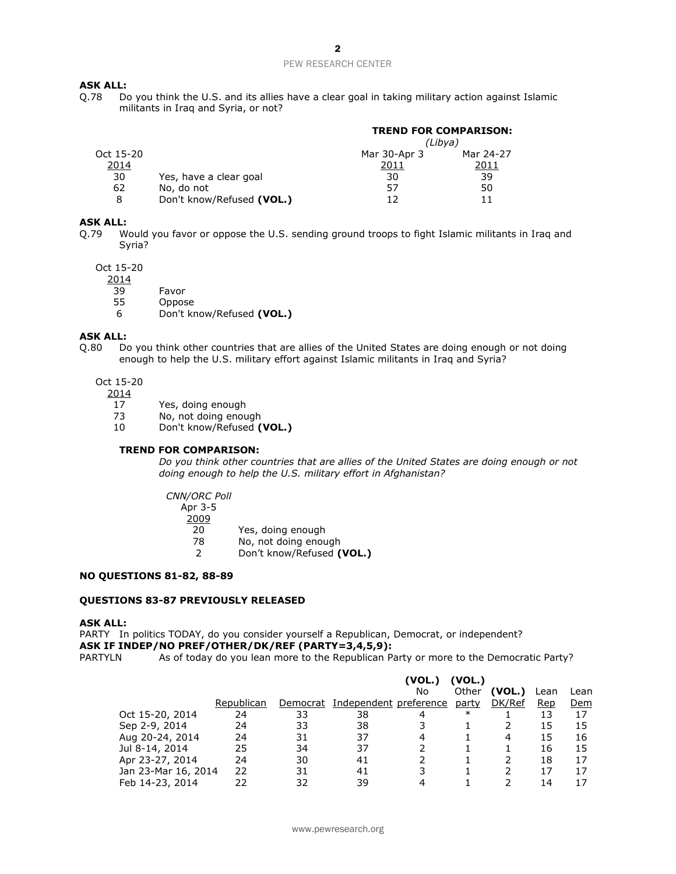## PEW RESEARCH CENTER

# **ASK ALL:**

Q.78 Do you think the U.S. and its allies have a clear goal in taking military action against Islamic militants in Iraq and Syria, or not?

|           |                           | <b>TREND FOR COMPARISON:</b> |           |
|-----------|---------------------------|------------------------------|-----------|
|           |                           | (Libya)                      |           |
| Oct 15-20 |                           | Mar 30-Apr 3                 | Mar 24-27 |
| 2014      |                           | 2011                         | 2011      |
| 30        | Yes, have a clear goal    | 30                           | 39        |
| 62        | No, do not                | 57                           | 50        |
| 8         | Don't know/Refused (VOL.) | 17                           | 11        |

# **ASK ALL:**

Q.79 Would you favor or oppose the U.S. sending ground troops to fight Islamic militants in Iraq and Syria?

Oct 15-20

2014

- 39 Favor
- 55 Oppose
- 6 Don't know/Refused **(VOL.)**

#### **ASK ALL:**

- Q.80 Do you think other countries that are allies of the United States are doing enough or not doing enough to help the U.S. military effort against Islamic militants in Iraq and Syria?
	- Oct 15-20
		- 2014
			- 17 Yes, doing enough
			- 73 No, not doing enough
			- 10 Don't know/Refused **(VOL.)**

## **TREND FOR COMPARISON:**

*Do you think other countries that are allies of the United States are doing enough or not doing enough to help the U.S. military effort in Afghanistan?*

*CNN/ORC Poll* Apr 3-5 2009 20 Yes, doing enough

- 
- 78 No, not doing enough<br>2 Don't know/Refused ( 2 Don't know/Refused **(VOL.)**

#### **NO QUESTIONS 81-82, 88-89**

## **QUESTIONS 83-87 PREVIOUSLY RELEASED**

#### **ASK ALL:**

PARTY In politics TODAY, do you consider yourself a Republican, Democrat, or independent? **ASK IF INDEP/NO PREF/OTHER/DK/REF (PARTY=3,4,5,9):** PARTYLN As of today do you lean more to the Republican Party or more to the Democratic Party?

|                     |            |          |                        | (VOL.) | (VOL.) |        |      |      |
|---------------------|------------|----------|------------------------|--------|--------|--------|------|------|
|                     |            |          |                        | No     | Other  | (VOL.) | Lean | Lean |
|                     | Republican | Democrat | Independent preference |        | party  | DK/Ref | Rep  | Dem  |
| Oct 15-20, 2014     | 24         | 33       | 38                     |        | $\ast$ |        | 13   | 17   |
| Sep 2-9, 2014       | 24         | 33       | 38                     |        |        |        | 15   | 15   |
| Aug 20-24, 2014     | 24         | 31       | 37                     | 4      |        | 4      | 15   | 16   |
| Jul 8-14, 2014      | 25         | 34       | 37                     |        |        |        | 16   | 15   |
| Apr 23-27, 2014     | 24         | 30       | 41                     |        |        |        | 18   | 17   |
| Jan 23-Mar 16, 2014 | 22         | 31       | 41                     | 3      |        |        | 17   | 17   |
| Feb 14-23, 2014     | 22         | 32       | 39                     |        |        |        | 14   | 17   |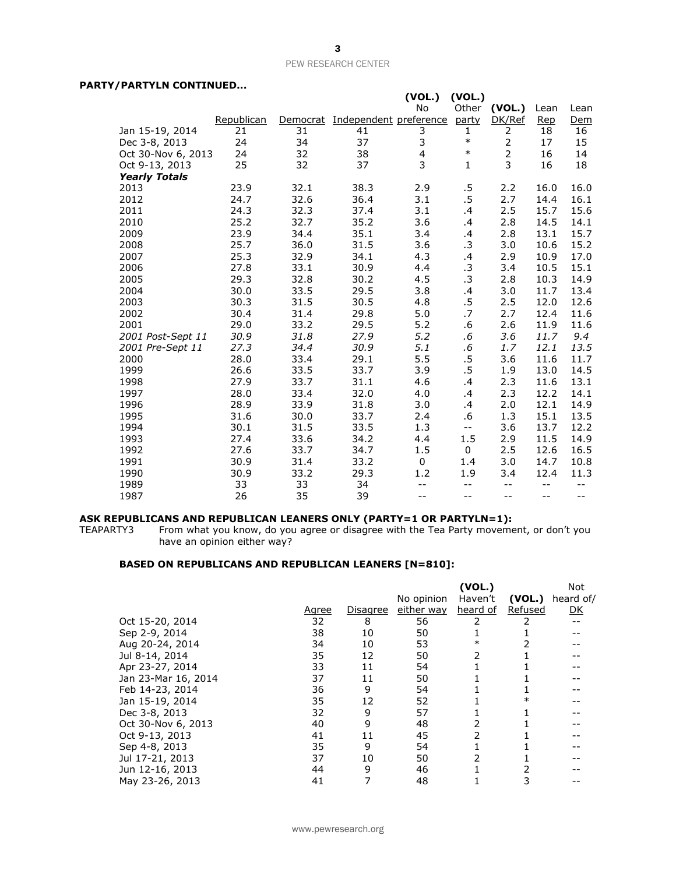## PEW RESEARCH CENTER

# **PARTY/PARTYLN CONTINUED...**

|                      |            |          |                        | (VOL.)                  | (VOL.)       |                |            |      |
|----------------------|------------|----------|------------------------|-------------------------|--------------|----------------|------------|------|
|                      |            |          |                        | <b>No</b>               | Other        | (VOL.)         | Lean       | Lean |
|                      | Republican | Democrat | Independent preference |                         | party        | DK/Ref         | <b>Rep</b> | Dem  |
| Jan 15-19, 2014      | 21         | 31       | 41                     | 3                       | 1            | 2              | 18         | 16   |
| Dec 3-8, 2013        | 24         | 34       | 37                     | 3                       | $\ast$       | $\overline{2}$ | 17         | 15   |
| Oct 30-Nov 6, 2013   | 24         | 32       | 38                     | $\overline{\mathbf{4}}$ | $\ast$       | $\overline{2}$ | 16         | 14   |
| Oct 9-13, 2013       | 25         | 32       | 37                     | 3                       | $\mathbf{1}$ | 3              | 16         | 18   |
| <b>Yearly Totals</b> |            |          |                        |                         |              |                |            |      |
| 2013                 | 23.9       | 32.1     | 38.3                   | 2.9                     | $.5\,$       | 2.2            | 16.0       | 16.0 |
| 2012                 | 24.7       | 32.6     | 36.4                   | 3.1                     | $.5\,$       | 2.7            | 14.4       | 16.1 |
| 2011                 | 24.3       | 32.3     | 37.4                   | 3.1                     | .4           | 2.5            | 15.7       | 15.6 |
| 2010                 | 25.2       | 32.7     | 35.2                   | 3.6                     | .4           | 2.8            | 14.5       | 14.1 |
| 2009                 | 23.9       | 34.4     | 35.1                   | 3.4                     | $\cdot$      | 2.8            | 13.1       | 15.7 |
| 2008                 | 25.7       | 36.0     | 31.5                   | 3.6                     | .3           | 3.0            | 10.6       | 15.2 |
| 2007                 | 25.3       | 32.9     | 34.1                   | 4.3                     | .4           | 2.9            | 10.9       | 17.0 |
| 2006                 | 27.8       | 33.1     | 30.9                   | 4.4                     | .3           | 3.4            | 10.5       | 15.1 |
| 2005                 | 29.3       | 32.8     | 30.2                   | 4.5                     | .3           | 2.8            | 10.3       | 14.9 |
| 2004                 | 30.0       | 33.5     | 29.5                   | 3.8                     | $\cdot$      | 3.0            | 11.7       | 13.4 |
| 2003                 | 30.3       | 31.5     | 30.5                   | 4.8                     | .5           | 2.5            | 12.0       | 12.6 |
| 2002                 | 30.4       | 31.4     | 29.8                   | 5.0                     | .7           | 2.7            | 12.4       | 11.6 |
| 2001                 | 29.0       | 33.2     | 29.5                   | 5.2                     | .6           | 2.6            | 11.9       | 11.6 |
| 2001 Post-Sept 11    | 30.9       | 31.8     | 27.9                   | 5.2                     | .6           | 3.6            | 11.7       | 9.4  |
| 2001 Pre-Sept 11     | 27.3       | 34.4     | 30.9                   | 5.1                     | $.6\,$       | 1.7            | 12.1       | 13.5 |
| 2000                 | 28.0       | 33.4     | 29.1                   | 5.5                     | $.5\,$       | 3.6            | 11.6       | 11.7 |
| 1999                 | 26.6       | 33.5     | 33.7                   | 3.9                     | $.5\,$       | 1.9            | 13.0       | 14.5 |
| 1998                 | 27.9       | 33.7     | 31.1                   | 4.6                     | .4           | 2.3            | 11.6       | 13.1 |
| 1997                 | 28.0       | 33.4     | 32.0                   | 4.0                     | .4           | 2.3            | 12.2       | 14.1 |
| 1996                 | 28.9       | 33.9     | 31.8                   | 3.0                     | .4           | 2.0            | 12.1       | 14.9 |
| 1995                 | 31.6       | 30.0     | 33.7                   | 2.4                     | .6           | 1.3            | 15.1       | 13.5 |
| 1994                 | 30.1       | 31.5     | 33.5                   | 1.3                     | $-$          | 3.6            | 13.7       | 12.2 |
| 1993                 | 27.4       | 33.6     | 34.2                   | 4.4                     | 1.5          | 2.9            | 11.5       | 14.9 |
| 1992                 | 27.6       | 33.7     | 34.7                   | 1.5                     | $\Omega$     | 2.5            | 12.6       | 16.5 |
| 1991                 | 30.9       | 31.4     | 33.2                   | 0                       | 1.4          | 3.0            | 14.7       | 10.8 |
| 1990                 | 30.9       | 33.2     | 29.3                   | 1.2                     | 1.9          | 3.4            | 12.4       | 11.3 |
| 1989                 | 33         | 33       | 34                     | $-$                     | $-$          | $-$            | $-$        | --   |
| 1987                 | 26         | 35       | 39                     | $-$                     | --           | $-$            | $-$        | $-$  |

#### **ASK REPUBLICANS AND REPUBLICAN LEANERS ONLY (PARTY=1 OR PARTYLN=1):**

TEAPARTY3 From what you know, do you agree or disagree with the Tea Party movement, or don't you have an opinion either way?

# **BASED ON REPUBLICANS AND REPUBLICAN LEANERS [N=810]:**

|                     |              |                 |            | (VOL.)   |         | Not       |
|---------------------|--------------|-----------------|------------|----------|---------|-----------|
|                     |              |                 | No opinion | Haven't  | (VOL.)  | heard of/ |
|                     | <u>Agree</u> | <u>Disagree</u> | either way | heard of | Refused | <u>DK</u> |
| Oct 15-20, 2014     | 32           | 8               | 56         |          |         |           |
| Sep 2-9, 2014       | 38           | 10              | 50         |          |         |           |
| Aug 20-24, 2014     | 34           | 10              | 53         | $\ast$   |         |           |
| Jul 8-14, 2014      | 35           | 12              | 50         | 2        |         |           |
| Apr 23-27, 2014     | 33           | 11              | 54         |          |         |           |
| Jan 23-Mar 16, 2014 | 37           | 11              | 50         |          |         |           |
| Feb 14-23, 2014     | 36           | 9               | 54         |          |         |           |
| Jan 15-19, 2014     | 35           | 12              | 52         |          |         |           |
| Dec 3-8, 2013       | 32           | 9               | 57         |          |         |           |
| Oct 30-Nov 6, 2013  | 40           | 9               | 48         |          |         |           |
| Oct 9-13, 2013      | 41           | 11              | 45         |          |         |           |
| Sep 4-8, 2013       | 35           | 9               | 54         |          |         |           |
| Jul 17-21, 2013     | 37           | 10              | 50         |          |         |           |
| Jun 12-16, 2013     | 44           | 9               | 46         |          |         |           |
| May 23-26, 2013     | 41           |                 | 48         |          |         |           |